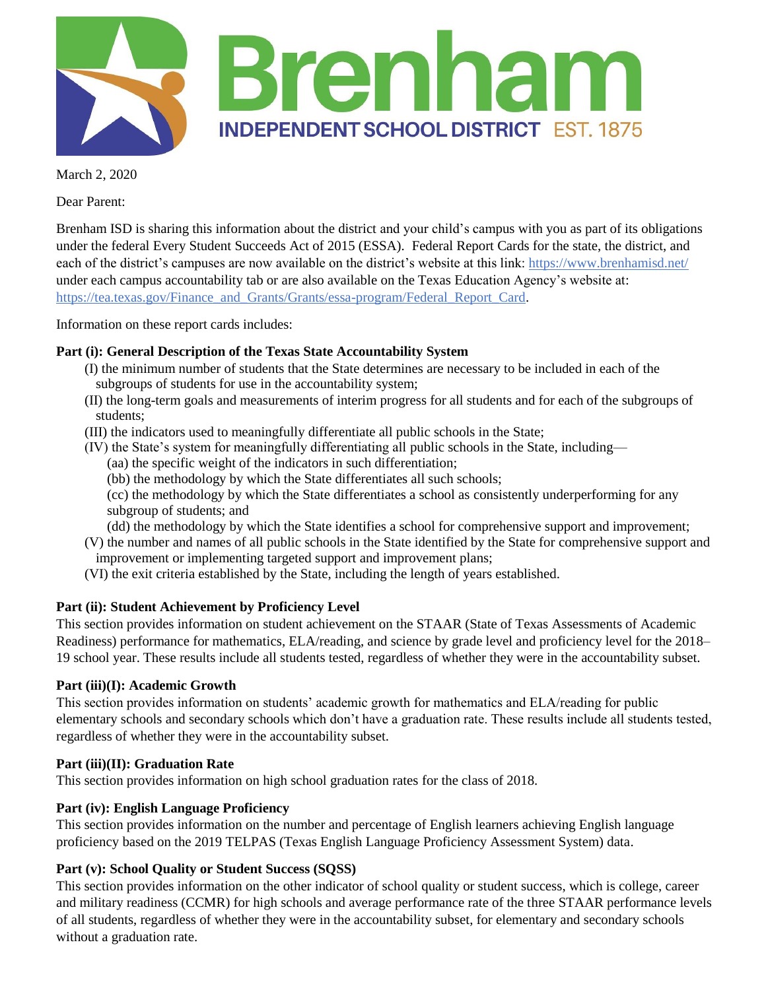

March 2, 2020

Dear Parent:

Brenham ISD is sharing this information about the district and your child's campus with you as part of its obligations under the federal Every Student Succeeds Act of 2015 (ESSA). Federal Report Cards for the state, the district, and each of the district's campuses are now available on the district's website at this link: <https://www.brenhamisd.net/> under each campus accountability tab or are also available on the Texas Education Agency's website at: [https://tea.texas.gov/Finance\\_and\\_Grants/Grants/essa-program/Federal\\_Report\\_Card.](https://tea.texas.gov/Finance_and_Grants/Grants/essa-program/Federal_Report_Card)

Information on these report cards includes:

## **Part (i): General Description of the Texas State Accountability System**

- (I) the minimum number of students that the State determines are necessary to be included in each of the subgroups of students for use in the accountability system;
- (II) the long-term goals and measurements of interim progress for all students and for each of the subgroups of students;
- (III) the indicators used to meaningfully differentiate all public schools in the State;
- (IV) the State's system for meaningfully differentiating all public schools in the State, including—
	- (aa) the specific weight of the indicators in such differentiation;
	- (bb) the methodology by which the State differentiates all such schools;

(cc) the methodology by which the State differentiates a school as consistently underperforming for any subgroup of students; and

- (dd) the methodology by which the State identifies a school for comprehensive support and improvement;
- (V) the number and names of all public schools in the State identified by the State for comprehensive support and improvement or implementing targeted support and improvement plans;
- (VI) the exit criteria established by the State, including the length of years established.

### **Part (ii): Student Achievement by Proficiency Level**

This section provides information on student achievement on the STAAR (State of Texas Assessments of Academic Readiness) performance for mathematics, ELA/reading, and science by grade level and proficiency level for the 2018– 19 school year. These results include all students tested, regardless of whether they were in the accountability subset.

### **Part (iii)(I): Academic Growth**

This section provides information on students' academic growth for mathematics and ELA/reading for public elementary schools and secondary schools which don't have a graduation rate. These results include all students tested, regardless of whether they were in the accountability subset.

# **Part (iii)(II): Graduation Rate**

This section provides information on high school graduation rates for the class of 2018.

# **Part (iv): English Language Proficiency**

This section provides information on the number and percentage of English learners achieving English language proficiency based on the 2019 TELPAS (Texas English Language Proficiency Assessment System) data.

# **Part (v): School Quality or Student Success (SQSS)**

This section provides information on the other indicator of school quality or student success, which is college, career and military readiness (CCMR) for high schools and average performance rate of the three STAAR performance levels of all students, regardless of whether they were in the accountability subset, for elementary and secondary schools without a graduation rate.